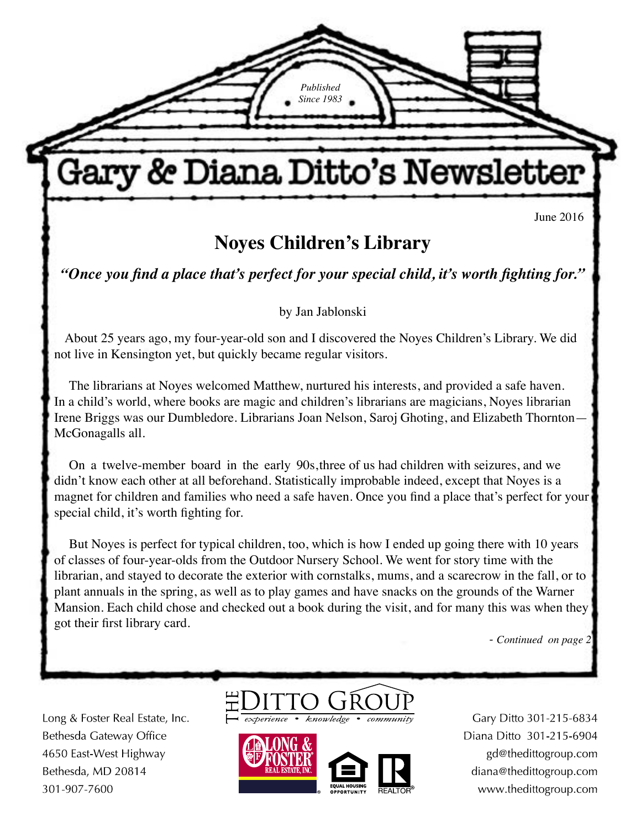June 2016

# **Noyes Children's Library**

**Gary & Diana Ditto's Newsletter** 

*Published Since 1983*

*"Once you find a place that's perfect for your special child, it's worth fighting for."*

by Jan Jablonski

About 25 years ago, my four-year-old son and I discovered the Noyes Children's Library. We did not live in Kensington yet, but quickly became regular visitors.

The librarians at Noyes welcomed Matthew, nurtured his interests, and provided a safe haven. In a child's world, where books are magic and children's librarians are magicians, Noyes librarian Irene Briggs was our Dumbledore. Librarians Joan Nelson, Saroj Ghoting, and Elizabeth Thornton— McGonagalls all.

On a twelve-member board in the early 90s, three of us had children with seizures, and we didn't know each other at all beforehand. Statistically improbable indeed, except that Noyes is a magnet for children and families who need a safe haven. Once you find a place that's perfect for your special child, it's worth fighting for.

But Noyes is perfect for typical children, too, which is how I ended up going there with 10 years of classes of four-year-olds from the Outdoor Nursery School. We went for story time with the librarian, and stayed to decorate the exterior with cornstalks, mums, and a scarecrow in the fall, or to plant annuals in the spring, as well as to play games and have snacks on the grounds of the Warner Mansion. Each child chose and checked out a book during the visit, and for many this was when they got their first library card.

*- Continued on page 2*

Long & Foster Real Estate, Inc. Bethesda Gateway Office 4650 East-West Highway Bethesda, MD 20814 301-907-7600





Gary Ditto 301-215-6834 Diana Ditto 301-215-6904 gd@thedittogroup.com diana@thedittogroup.com www.thedittogroup.com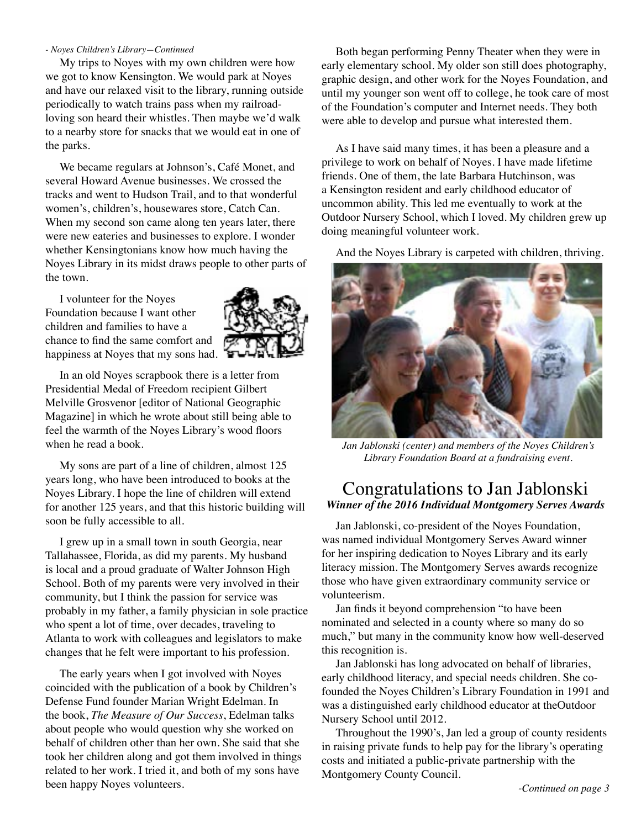#### *- Noyes Children's Library—Continued*

My trips to Noyes with my own children were how we got to know Kensington. We would park at Noyes and have our relaxed visit to the library, running outside periodically to watch trains pass when my railroadloving son heard their whistles. Then maybe we'd walk to a nearby store for snacks that we would eat in one of the parks.

We became regulars at Johnson's, Café Monet, and several Howard Avenue businesses. We crossed the tracks and went to Hudson Trail, and to that wonderful women's, children's, housewares store, Catch Can. When my second son came along ten years later, there were new eateries and businesses to explore. I wonder whether Kensingtonians know how much having the Noyes Library in its midst draws people to other parts of the town.

I volunteer for the Noyes Foundation because I want other children and families to have a chance to find the same comfort and happiness at Noyes that my sons had.



In an old Noyes scrapbook there is a letter from Presidential Medal of Freedom recipient Gilbert Melville Grosvenor [editor of National Geographic Magazine] in which he wrote about still being able to feel the warmth of the Noyes Library's wood floors when he read a book.

My sons are part of a line of children, almost 125 years long, who have been introduced to books at the Noyes Library. I hope the line of children will extend for another 125 years, and that this historic building will soon be fully accessible to all.

I grew up in a small town in south Georgia, near Tallahassee, Florida, as did my parents. My husband is local and a proud graduate of Walter Johnson High School. Both of my parents were very involved in their community, but I think the passion for service was probably in my father, a family physician in sole practice who spent a lot of time, over decades, traveling to Atlanta to work with colleagues and legislators to make changes that he felt were important to his profession.

The early years when I got involved with Noyes coincided with the publication of a book by Children's Defense Fund founder Marian Wright Edelman. In the book, *The Measure of Our Success*, Edelman talks about people who would question why she worked on behalf of children other than her own. She said that she took her children along and got them involved in things related to her work. I tried it, and both of my sons have been happy Noyes volunteers.

Both began performing Penny Theater when they were in early elementary school. My older son still does photography, graphic design, and other work for the Noyes Foundation, and until my younger son went off to college, he took care of most of the Foundation's computer and Internet needs. They both were able to develop and pursue what interested them.

As I have said many times, it has been a pleasure and a privilege to work on behalf of Noyes. I have made lifetime friends. One of them, the late Barbara Hutchinson, was a Kensington resident and early childhood educator of uncommon ability. This led me eventually to work at the Outdoor Nursery School, which I loved. My children grew up doing meaningful volunteer work.

And the Noyes Library is carpeted with children, thriving.



*Jan Jablonski (center) and members of the Noyes Children's Library Foundation Board at a fundraising event*.

# Congratulations to Jan Jablonski *Winner of the 2016 Individual Montgomery Serves Awards*

Jan Jablonski, co-president of the Noyes Foundation, was named individual Montgomery Serves Award winner for her inspiring dedication to Noyes Library and its early literacy mission. The Montgomery Serves awards recognize those who have given extraordinary community service or volunteerism.

Jan finds it beyond comprehension "to have been nominated and selected in a county where so many do so much," but many in the community know how well-deserved this recognition is.

Jan Jablonski has long advocated on behalf of libraries, early childhood literacy, and special needs children. She cofounded the Noyes Children's Library Foundation in 1991 and was a distinguished early childhood educator at theOutdoor Nursery School until 2012.

Throughout the 1990's, Jan led a group of county residents in raising private funds to help pay for the library's operating costs and initiated a public-private partnership with the Montgomery County Council.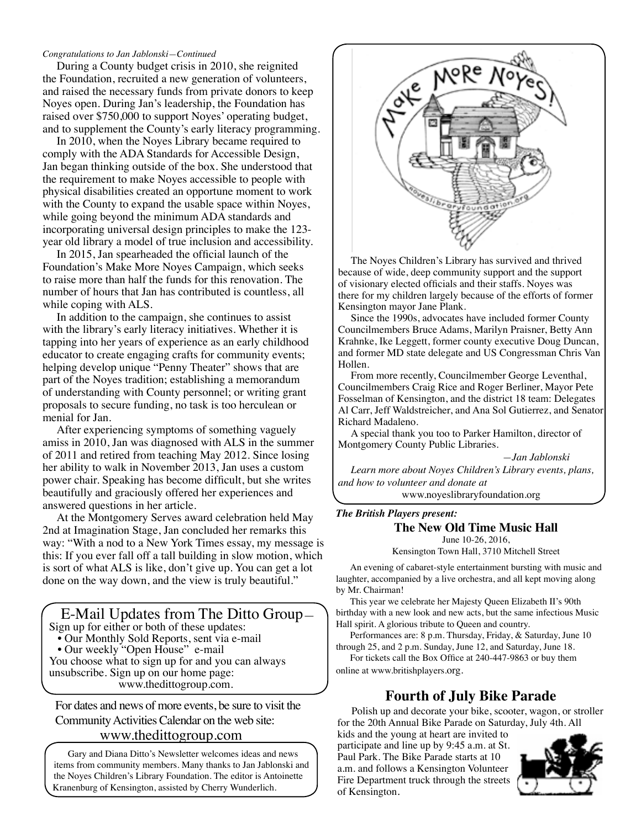#### *Congratulations to Jan Jablonski—Continued*

During a County budget crisis in 2010, she reignited the Foundation, recruited a new generation of volunteers, and raised the necessary funds from private donors to keep Noyes open. During Jan's leadership, the Foundation has raised over \$750,000 to support Noyes' operating budget, and to supplement the County's early literacy programming.

In 2010, when the Noyes Library became required to comply with the ADA Standards for Accessible Design, Jan began thinking outside of the box. She understood that the requirement to make Noyes accessible to people with physical disabilities created an opportune moment to work with the County to expand the usable space within Noyes, while going beyond the minimum ADA standards and incorporating universal design principles to make the 123 year old library a model of true inclusion and accessibility.

In 2015, Jan spearheaded the official launch of the Foundation's Make More Noyes Campaign, which seeks to raise more than half the funds for this renovation. The number of hours that Jan has contributed is countless, all while coping with ALS.

In addition to the campaign, she continues to assist with the library's early literacy initiatives. Whether it is tapping into her years of experience as an early childhood educator to create engaging crafts for community events; helping develop unique "Penny Theater" shows that are part of the Noyes tradition; establishing a memorandum of understanding with County personnel; or writing grant proposals to secure funding, no task is too herculean or menial for Jan.

After experiencing symptoms of something vaguely amiss in 2010, Jan was diagnosed with ALS in the summer of 2011 and retired from teaching May 2012. Since losing her ability to walk in November 2013, Jan uses a custom power chair. Speaking has become difficult, but she writes beautifully and graciously offered her experiences and answered questions in her article.

At the Montgomery Serves award celebration held May 2nd at Imagination Stage, Jan concluded her remarks this way: "With a nod to a New York Times essay, my message is this: If you ever fall off a tall building in slow motion, which is sort of what ALS is like, don't give up. You can get a lot done on the way down, and the view is truly beautiful."

E-Mail Updates from The Ditto Group—

Sign up for either or both of these updates:

• Our Monthly Sold Reports, sent via e-mail

• Our weekly "Open House" e-mail

You choose what to sign up for and you can always unsubscribe. Sign up on our home page: www.thedittogroup.com.

For dates and news of more events, be sure to visit the Community Activities Calendar on the web site:

## www.thedittogroup.com

Gary and Diana Ditto's Newsletter welcomes ideas and news items from community members. Many thanks to Jan Jablonski and the Noyes Children's Library Foundation. The editor is Antoinette Kranenburg of Kensington, assisted by Cherry Wunderlich.



The Noyes Children's Library has survived and thrived because of wide, deep community support and the support of visionary elected officials and their staffs. Noyes was there for my children largely because of the efforts of former Kensington mayor Jane Plank.

Since the 1990s, advocates have included former County Councilmembers Bruce Adams, Marilyn Praisner, Betty Ann Krahnke, Ike Leggett, former county executive Doug Duncan, and former MD state delegate and US Congressman Chris Van Hollen.

From more recently, Councilmember George Leventhal, Councilmembers Craig Rice and Roger Berliner, Mayor Pete Fosselman of Kensington, and the district 18 team: Delegates Al Carr, Jeff Waldstreicher, and Ana Sol Gutierrez, and Senator Richard Madaleno.

A special thank you too to Parker Hamilton, director of Montgomery County Public Libraries.

 *—Jan Jablonski Learn more about Noyes Children's Library events, plans, and how to volunteer and donate at* 

www.noyeslibraryfoundation.org

### *The British Players present:*

# **The New Old Time Music Hall**

June 10-26, 2016, Kensington Town Hall, 3710 Mitchell Street

An evening of cabaret-style entertainment bursting with music and laughter, accompanied by a live orchestra, and all kept moving along

by Mr. Chairman! This year we celebrate her Majesty Queen Elizabeth II's 90th birthday with a new look and new acts, but the same infectious Music Hall spirit. A glorious tribute to Queen and country.

Performances are: 8 p.m. Thursday, Friday, & Saturday, June 10 through 25, and 2 p.m. Sunday, June 12, and Saturday, June 18.

For tickets call the Box Office at 240-447-9863 or buy them online at www.britishplayers.org.

# **Fourth of July Bike Parade**

Polish up and decorate your bike, scooter, wagon, or stroller for the 20th Annual Bike Parade on Saturday, July 4th. All

kids and the young at heart are invited to participate and line up by 9:45 a.m. at St. Paul Park. The Bike Parade starts at 10 a.m. and follows a Kensington Volunteer Fire Department truck through the streets of Kensington.